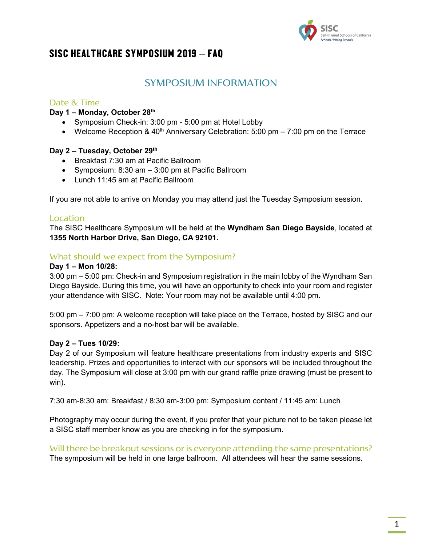

### SYMPOSIUM INFORMATION

### Date & Time

#### **Day 1 – Monday, October 28th**

- Symposium Check-in: 3:00 pm 5:00 pm at Hotel Lobby
- Welcome Reception &  $40<sup>th</sup>$  Anniversary Celebration: 5:00 pm 7:00 pm on the Terrace

#### **Day 2 – Tuesday, October 29th**

- Breakfast 7:30 am at Pacific Ballroom
- Symposium: 8:30 am 3:00 pm at Pacific Ballroom
- Lunch 11:45 am at Pacific Ballroom

If you are not able to arrive on Monday you may attend just the Tuesday Symposium session.

#### Location

The SISC Healthcare Symposium will be held at the **Wyndham San Diego Bayside**, located at **1355 North Harbor Drive, San Diego, CA 92101.** 

#### What should we expect from the Symposium?

#### **Day 1 – Mon 10/28:**

3:00 pm – 5:00 pm: Check-in and Symposium registration in the main lobby of the Wyndham San Diego Bayside. During this time, you will have an opportunity to check into your room and register your attendance with SISC. Note: Your room may not be available until 4:00 pm.

5:00 pm – 7:00 pm: A welcome reception will take place on the Terrace, hosted by SISC and our sponsors. Appetizers and a no-host bar will be available.

#### **Day 2 – Tues 10/29:**

Day 2 of our Symposium will feature healthcare presentations from industry experts and SISC leadership. Prizes and opportunities to interact with our sponsors will be included throughout the day. The Symposium will close at 3:00 pm with our grand raffle prize drawing (must be present to win).

7:30 am-8:30 am: Breakfast / 8:30 am-3:00 pm: Symposium content / 11:45 am: Lunch

Photography may occur during the event, if you prefer that your picture not to be taken please let a SISC staff member know as you are checking in for the symposium.

Will there be breakout sessions or is everyone attending the same presentations? The symposium will be held in one large ballroom. All attendees will hear the same sessions.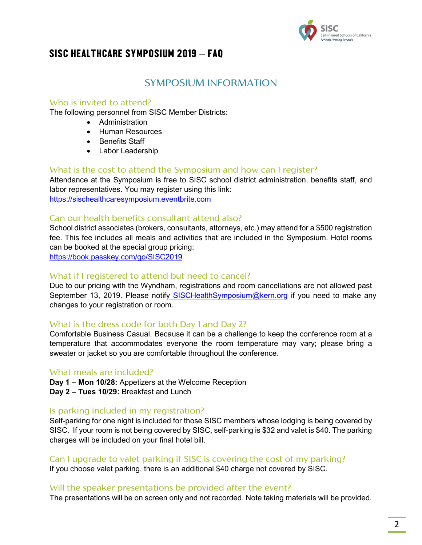

### SYMPOSIUM INFORMATION

### Who is invited to attend?

The following personnel from SISC Member Districts:

- Administration
- Human Resources
- Benefits Staff
- Labor Leadership

### What is the cost to attend the Symposium and how can I register?

Attendance at the Symposium is free to SISC school district administration, benefits staff, and labor representatives. You may register using this link: [https://sischealthcaresymposium.eventbrite.com](https://sischealthcaresymposium.eventbrite.com/)

### Can our health benefits consultant attend also?

School district associates (brokers, consultants, attorneys, etc.) may attend for a \$500 registration fee. This fee includes all meals and activities that are included in the Symposium. Hotel rooms can be booked at the special group pricing: https://book.passkey.com/go/SISC2019

#### What if I registered to attend but need to cancel?

Due to our pricing with the Wyndham, registrations and room cancellations are not allowed past September 13, 2019. Please notif[y SISCHealthSymposium@kern.org](mailto:SISCHealthSymposium@kern.org) if you need to make any changes to your registration or room.

#### What is the dress code for both Day 1 and Day 2?

Comfortable Business Casual. Because it can be a challenge to keep the conference room at a temperature that accommodates everyone the room temperature may vary; please bring a sweater or jacket so you are comfortable throughout the conference.

#### What meals are included?

**Day 1 – Mon 10/28:** Appetizers at the Welcome Reception

**Day 2 – Tues 10/29:** Breakfast and Lunch

#### Is parking included in my registration?

Self-parking for one night is included for those SISC members whose lodging is being covered by SISC. If your room is not being covered by SISC, self-parking is \$32 and valet is \$40. The parking charges will be included on your final hotel bill.

#### Can I upgrade to valet parking if SISC is covering the cost of my parking?

If you choose valet parking, there is an additional \$40 charge not covered by SISC.

#### Will the speaker presentations be provided after the event?

The presentations will be on screen only and not recorded. Note taking materials will be provided.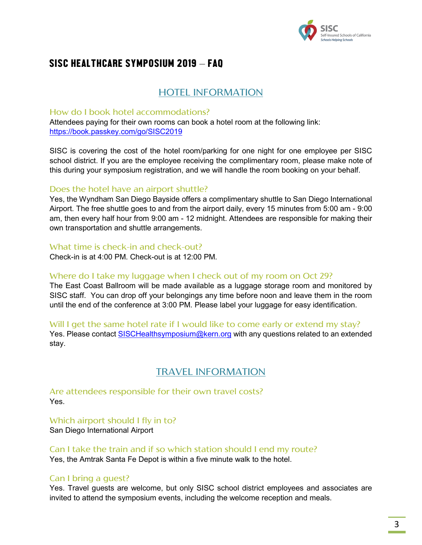

## HOTEL INFORMATION

#### How do I book hotel accommodations?

Attendees paying for their own rooms can book a hotel room at the following link: https://book.passkey.com/go/SISC2019

SISC is covering the cost of the hotel room/parking for one night for one employee per SISC school district. If you are the employee receiving the complimentary room, please make note of this during your symposium registration, and we will handle the room booking on your behalf.

#### Does the hotel have an airport shuttle?

Yes, the Wyndham San Diego Bayside offers a complimentary shuttle to San Diego International Airport. The free shuttle goes to and from the airport daily, every 15 minutes from 5:00 am - 9:00 am, then every half hour from 9:00 am - 12 midnight. Attendees are responsible for making their own transportation and shuttle arrangements.

What time is check-in and check-out?

Check-in is at 4:00 PM. Check-out is at 12:00 PM.

#### Where do I take my luggage when I check out of my room on Oct 29?

The East Coast Ballroom will be made available as a luggage storage room and monitored by SISC staff. You can drop off your belongings any time before noon and leave them in the room until the end of the conference at 3:00 PM. Please label your luggage for easy identification.

Will I get the same hotel rate if I would like to come early or extend my stay?

Yes. Please contact [SISCHealthsymposium@kern.org](mailto:SISCHealthsymposium@kern.org) with any questions related to an extended stay.

## TRAVEL INFORMATION

Are attendees responsible for their own travel costs? Yes.

Which airport should I fly in to? San Diego International Airport

Can I take the train and if so which station should I end my route? Yes, the Amtrak Santa Fe Depot is within a five minute walk to the hotel.

#### Can I bring a guest?

Yes. Travel guests are welcome, but only SISC school district employees and associates are invited to attend the symposium events, including the welcome reception and meals.